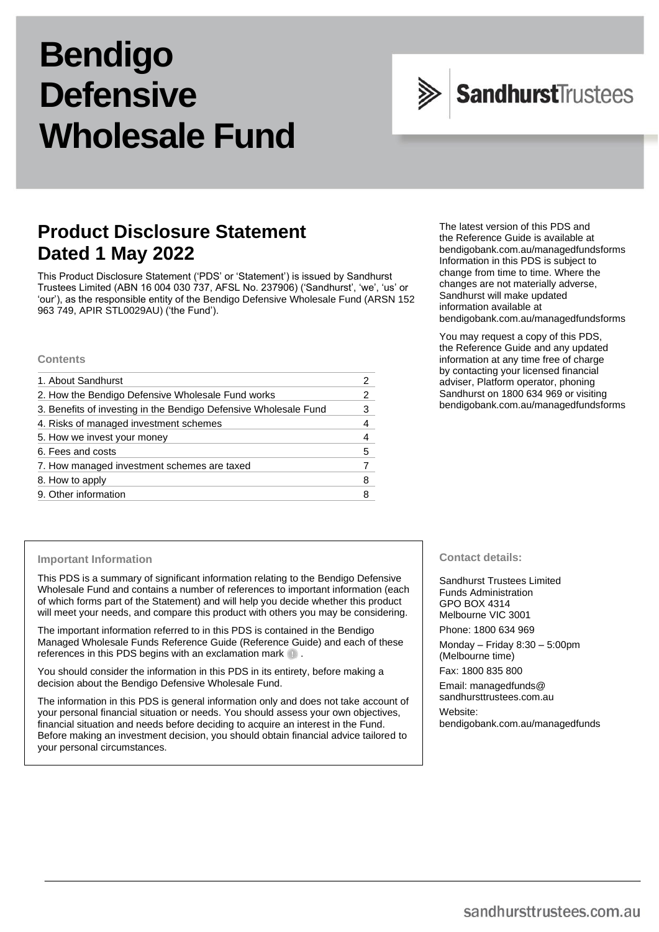# **Bendigo Defensive Wholesale Fund**

## SandhurstTrustees

## **Product Disclosure Statement Dated 1 May 2022**

This Product Disclosure Statement ('PDS' or 'Statement') is issued by Sandhurst Trustees Limited (ABN 16 004 030 737, AFSL No. 237906) ('Sandhurst', 'we', 'us' or 'our'), as the responsible entity of the Bendigo Defensive Wholesale Fund (ARSN 152 963 749, APIR STL0029AU) ('the Fund').

## **Contents**

| 1. About Sandhurst                                               |   |
|------------------------------------------------------------------|---|
| 2. How the Bendigo Defensive Wholesale Fund works                | 2 |
| 3. Benefits of investing in the Bendigo Defensive Wholesale Fund | 3 |
| 4. Risks of managed investment schemes                           | 4 |
| 5. How we invest your money                                      |   |
| 6. Fees and costs                                                | 5 |
| 7. How managed investment schemes are taxed                      |   |
| 8. How to apply                                                  | 8 |
| 9. Other information                                             |   |

#### The latest version of this PDS and the Reference Guide is available at [bendigobank.com.au/managedfundsf](https://bendigobank.com.au/managedfundsforms)orms Information in this PDS is subject to change from time to time. Where the changes are not materially adverse, Sandhurst will make updated information available at [bendigobank.com.au/managedfundsf](https://bendigobank.com.au/managedfundsforms)orms

You may request a copy of this PDS, the Reference Guide and any updated information at any time free of charge by contacting your licensed financial adviser, Platform operator, phoning Sandhurst on 1800 634 969 or visiting [bendigobank.com.au/managedfundsf](https://bendigobank.com.au/managedfundsforms)orms

## **Important Information**

This PDS is a summary of significant information relating to the Bendigo Defensive Wholesale Fund and contains a number of references to important information (each of which forms part of the Statement) and will help you decide whether this product will meet your needs, and compare this product with others you may be considering.

The important information referred to in this PDS is contained in the Bendigo Managed Wholesale Funds Reference Guide (Reference Guide) and each of these references in this PDS begins with an exclamation mark  $\blacksquare$ .

You should consider the information in this PDS in its entirety, before making a decision about the Bendigo Defensive Wholesale Fund.

The information in this PDS is general information only and does not take account of your personal financial situation or needs. You should assess your own objectives, financial situation and needs before deciding to acquire an interest in the Fund. Before making an investment decision, you should obtain financial advice tailored to your personal circumstances.

## **Contact details:**

Sandhurst Trustees Limited Funds Administration GPO BOX 4314 Melbourne VIC 3001 Phone: 1800 634 969

Monday – Friday 8:30 – 5:00pm (Melbourne time)

Fax: 1800 835 800

Email[: managedfunds@](mailto:managedfunds@sandhursttrustees.com.au) [sandhursttrustees.com.au](mailto:managedfunds@sandhursttrustees.com.au)

Website: [bendigobank.com.au/managedfunds](https://www.bendigobank.com.au/managedfundsforms/)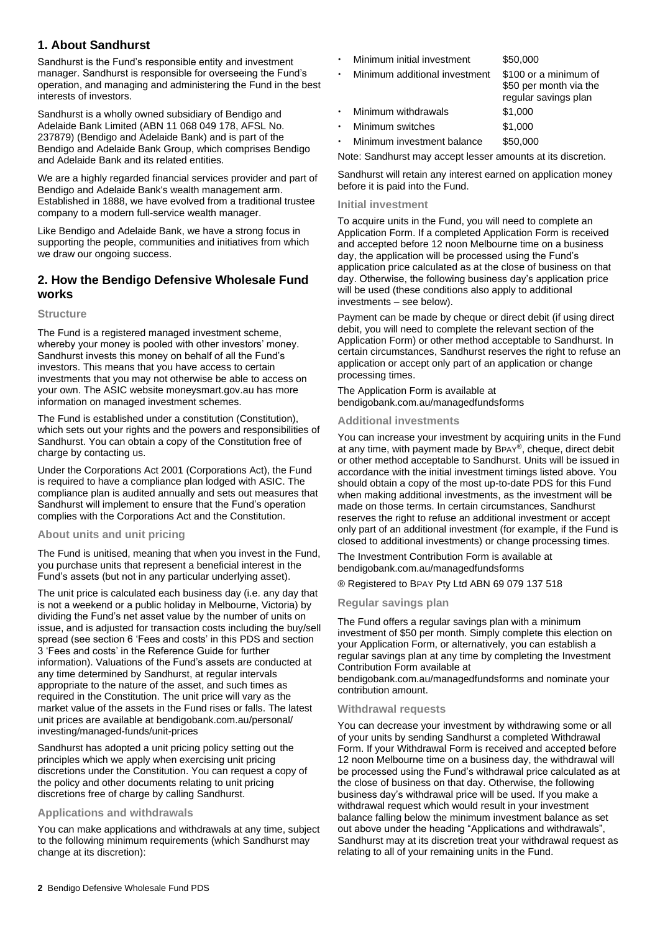## **1. About Sandhurst**

Sandhurst is the Fund's responsible entity and investment manager. Sandhurst is responsible for overseeing the Fund's operation, and managing and administering the Fund in the best interests of investors.

Sandhurst is a wholly owned subsidiary of Bendigo and Adelaide Bank Limited (ABN 11 068 049 178, AFSL No. 237879) (Bendigo and Adelaide Bank) and is part of the Bendigo and Adelaide Bank Group, which comprises Bendigo and Adelaide Bank and its related entities.

We are a highly regarded financial services provider and part of Bendigo and Adelaide Bank's wealth management arm. Established in 1888, we have evolved from a traditional trustee company to a modern full-service wealth manager.

Like Bendigo and Adelaide Bank, we have a strong focus in supporting the people, communities and initiatives from which we draw our ongoing success.

## **2. How the Bendigo Defensive Wholesale Fund works**

## **Structure**

The Fund is a registered managed investment scheme, whereby your money is pooled with other investors' money. Sandhurst invests this money on behalf of all the Fund's investors. This means that you have access to certain investments that you may not otherwise be able to access on your own. The ASIC website [moneysmart.gov.au](http://www.moneysmart.gov.au/) has more information on managed investment schemes.

The Fund is established under a constitution (Constitution), which sets out your rights and the powers and responsibilities of Sandhurst. You can obtain a copy of the Constitution free of charge by contacting us.

Under the Corporations Act 2001 (Corporations Act), the Fund is required to have a compliance plan lodged with ASIC. The compliance plan is audited annually and sets out measures that Sandhurst will implement to ensure that the Fund's operation complies with the Corporations Act and the Constitution.

## **About units and unit pricing**

The Fund is unitised, meaning that when you invest in the Fund, you purchase units that represent a beneficial interest in the Fund's assets (but not in any particular underlying asset).

The unit price is calculated each business day (i.e. any day that is not a weekend or a public holiday in Melbourne, Victoria) by dividing the Fund's net asset value by the number of units on issue, and is adjusted for transaction costs including the buy/sell spread (see section 6 'Fees and costs' in this PDS and section 3 'Fees and costs' in the Reference Guide for further information). Valuations of the Fund's assets are conducted at any time determined by Sandhurst, at regular intervals appropriate to the nature of the asset, and such times as required in the Constitution. The unit price will vary as the market value of the assets in the Fund rises or falls. The latest unit prices are available at [bendigobank.com.au/personal/](https://www.bendigobank.com.au/personal/investing/managed-funds/unit-prices)  [investing/managed-funds/unit-prices](https://www.bendigobank.com.au/personal/investing/managed-funds/unit-prices)

Sandhurst has adopted a unit pricing policy setting out the principles which we apply when exercising unit pricing discretions under the Constitution. You can request a copy of the policy and other documents relating to unit pricing discretions free of charge by calling Sandhurst.

## **Applications and withdrawals**

You can make applications and withdrawals at any time, subject to the following minimum requirements (which Sandhurst may change at its discretion):

- Minimum initial investment \$50,000
- Minimum additional investment \$100 or a minimum of

|           |                     | regular savings plan |
|-----------|---------------------|----------------------|
| $\bullet$ | Minimum withdrawals | \$1,000              |
| $\bullet$ | Minimum switches    | \$1,000              |

Minimum investment balance \$50,000

Note: Sandhurst may accept lesser amounts at its discretion.

\$50 per month via the

Sandhurst will retain any interest earned on application money before it is paid into the Fund.

## **Initial investment**

To acquire units in the Fund, you will need to complete an Application Form. If a completed Application Form is received and accepted before 12 noon Melbourne time on a business day, the application will be processed using the Fund's application price calculated as at the close of business on that day. Otherwise, the following business day's application price will be used (these conditions also apply to additional investments – see below).

Payment can be made by cheque or direct debit (if using direct debit, you will need to complete the relevant section of the Application Form) or other method acceptable to Sandhurst. In certain circumstances, Sandhurst reserves the right to refuse an application or accept only part of an application or change processing times.

The Application Form is available at [bendigobank.com.au/managedfundsf](https://bendigobank.com.au/managedfundsforms)orms

## **Additional investments**

You can increase your investment by acquiring units in the Fund at any time, with payment made by BPAY®, cheque, direct debit or other method acceptable to Sandhurst. Units will be issued in accordance with the initial investment timings listed above. You should obtain a copy of the most up-to-date PDS for this Fund when making additional investments, as the investment will be made on those terms. In certain circumstances, Sandhurst reserves the right to refuse an additional investment or accept only part of an additional investment (for example, if the Fund is closed to additional investments) or change processing times.

The Investment Contribution Form is available at [bendigobank.com.au/managedfundsf](https://bendigobank.com.au/managedfundsforms)orms

® Registered to BPAY Pty Ltd ABN 69 079 137 518

## **Regular savings plan**

The Fund offers a regular savings plan with a minimum investment of \$50 per month. Simply complete this election on your Application Form, or alternatively, you can establish a regular savings plan at any time by completing the Investment Contribution Form available at

[bendigobank.com.au/managedfundsf](https://bendigobank.com.au/managedfundsforms)orms and nominate your contribution amount.

## **Withdrawal requests**

You can decrease your investment by withdrawing some or all of your units by sending Sandhurst a completed Withdrawal Form. If your Withdrawal Form is received and accepted before 12 noon Melbourne time on a business day, the withdrawal will be processed using the Fund's withdrawal price calculated as at the close of business on that day. Otherwise, the following business day's withdrawal price will be used. If you make a withdrawal request which would result in your investment balance falling below the minimum investment balance as set out above under the heading "Applications and withdrawals", Sandhurst may at its discretion treat your withdrawal request as relating to all of your remaining units in the Fund.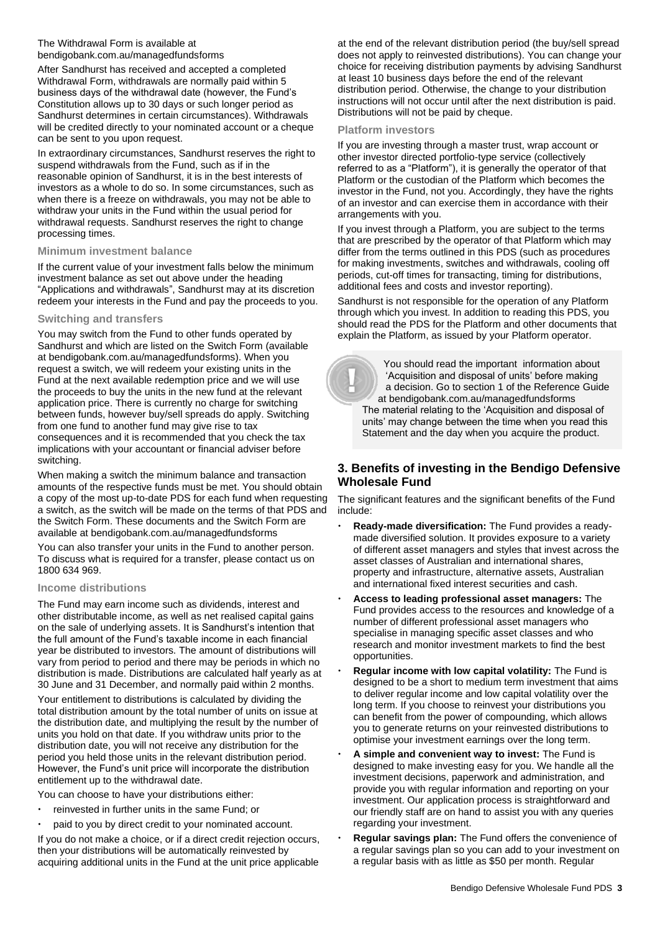## The Withdrawal Form is available at [bendigobank.com.au/managedfundsf](https://bendigobank.com.au/managedfundsforms)orms

After Sandhurst has received and accepted a completed Withdrawal Form, withdrawals are normally paid within 5 business days of the withdrawal date (however, the Fund's Constitution allows up to 30 days or such longer period as Sandhurst determines in certain circumstances). Withdrawals will be credited directly to your nominated account or a cheque can be sent to you upon request.

In extraordinary circumstances, Sandhurst reserves the right to suspend withdrawals from the Fund, such as if in the reasonable opinion of Sandhurst, it is in the best interests of investors as a whole to do so. In some circumstances, such as when there is a freeze on withdrawals, you may not be able to withdraw your units in the Fund within the usual period for withdrawal requests. Sandhurst reserves the right to change processing times.

## **Minimum investment balance**

If the current value of your investment falls below the minimum investment balance as set out above under the heading "Applications and withdrawals", Sandhurst may at its discretion redeem your interests in the Fund and pay the proceeds to you.

## **Switching and transfers**

You may switch from the Fund to other funds operated by Sandhurst and which are listed on the Switch Form (available at [bendigobank.com.au/managedfundsf](https://bendigobank.com.au/managedfundsforms)orms). When you request a switch, we will redeem your existing units in the Fund at the next available redemption price and we will use the proceeds to buy the units in the new fund at the relevant application price. There is currently no charge for switching between funds, however buy/sell spreads do apply. Switching from one fund to another fund may give rise to tax consequences and it is recommended that you check the tax implications with your accountant or financial adviser before switching.

When making a switch the minimum balance and transaction amounts of the respective funds must be met. You should obtain a copy of the most up-to-date PDS for each fund when requesting a switch, as the switch will be made on the terms of that PDS and the Switch Form. These documents and the Switch Form are available at [bendigobank.com.au/managedfundsf](https://bendigobank.com.au/managedfundsforms)orms

You can also transfer your units in the Fund to another person. To discuss what is required for a transfer, please contact us on 1800 634 969.

## **Income distributions**

The Fund may earn income such as dividends, interest and other distributable income, as well as net realised capital gains on the sale of underlying assets. It is Sandhurst's intention that the full amount of the Fund's taxable income in each financial year be distributed to investors. The amount of distributions will vary from period to period and there may be periods in which no distribution is made. Distributions are calculated half yearly as at 30 June and 31 December, and normally paid within 2 months.

Your entitlement to distributions is calculated by dividing the total distribution amount by the total number of units on issue at the distribution date, and multiplying the result by the number of units you hold on that date. If you withdraw units prior to the distribution date, you will not receive any distribution for the period you held those units in the relevant distribution period. However, the Fund's unit price will incorporate the distribution entitlement up to the withdrawal date.

You can choose to have your distributions either:

- reinvested in further units in the same Fund; or
- paid to you by direct credit to your nominated account.

If you do not make a choice, or if a direct credit rejection occurs, then your distributions will be automatically reinvested by acquiring additional units in the Fund at the unit price applicable

at the end of the relevant distribution period (the buy/sell spread does not apply to reinvested distributions). You can change your choice for receiving distribution payments by advising Sandhurst at least 10 business days before the end of the relevant distribution period. Otherwise, the change to your distribution instructions will not occur until after the next distribution is paid. Distributions will not be paid by cheque.

#### **Platform investors**

If you are investing through a master trust, wrap account or other investor directed portfolio-type service (collectively referred to as a "Platform"), it is generally the operator of that Platform or the custodian of the Platform which becomes the investor in the Fund, not you. Accordingly, they have the rights of an investor and can exercise them in accordance with their arrangements with you.

If you invest through a Platform, you are subject to the terms that are prescribed by the operator of that Platform which may differ from the terms outlined in this PDS (such as procedures for making investments, switches and withdrawals, cooling off periods, cut-off times for transacting, timing for distributions, additional fees and costs and investor reporting).

Sandhurst is not responsible for the operation of any Platform through which you invest. In addition to reading this PDS, you should read the PDS for the Platform and other documents that explain the Platform, as issued by your Platform operator.

 You should read the important information about 'Acquisition and disposal of units' before making a decision. Go to section 1 of the Reference Guide at [bendigobank.com.au/managedfundsf](https://bendigobank.com.au/managedfundsforms)orms The material relating to the 'Acquisition and disposal of units' may change between the time when you read this Statement and the day when you acquire the product.

## **3. Benefits of investing in the Bendigo Defensive Wholesale Fund**

The significant features and the significant benefits of the Fund include:

- **Ready-made diversification:** The Fund provides a readymade diversified solution. It provides exposure to a variety of different asset managers and styles that invest across the asset classes of Australian and international shares, property and infrastructure, alternative assets, Australian and international fixed interest securities and cash.
- **Access to leading professional asset managers:** The Fund provides access to the resources and knowledge of a number of different professional asset managers who specialise in managing specific asset classes and who research and monitor investment markets to find the best opportunities.
- **Regular income with low capital volatility:** The Fund is designed to be a short to medium term investment that aims to deliver regular income and low capital volatility over the long term. If you choose to reinvest your distributions you can benefit from the power of compounding, which allows you to generate returns on your reinvested distributions to optimise your investment earnings over the long term.
- **A simple and convenient way to invest:** The Fund is designed to make investing easy for you. We handle all the investment decisions, paperwork and administration, and provide you with regular information and reporting on your investment. Our application process is straightforward and our friendly staff are on hand to assist you with any queries regarding your investment.
- **Regular savings plan:** The Fund offers the convenience of a regular savings plan so you can add to your investment on a regular basis with as little as \$50 per month. Regular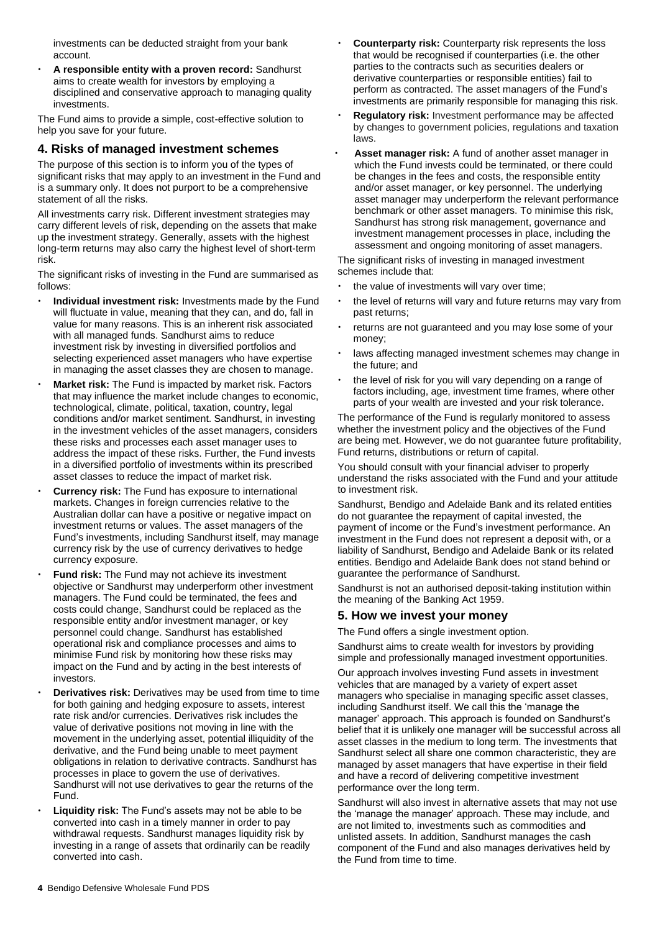investments can be deducted straight from your bank account.

 **A responsible entity with a proven record:** Sandhurst aims to create wealth for investors by employing a disciplined and conservative approach to managing quality investments.

The Fund aims to provide a simple, cost-effective solution to help you save for your future.

## **4. Risks of managed investment schemes**

The purpose of this section is to inform you of the types of significant risks that may apply to an investment in the Fund and is a summary only. It does not purport to be a comprehensive statement of all the risks.

All investments carry risk. Different investment strategies may carry different levels of risk, depending on the assets that make up the investment strategy. Generally, assets with the highest long-term returns may also carry the highest level of short-term risk.

The significant risks of investing in the Fund are summarised as follows:

- **Individual investment risk:** Investments made by the Fund will fluctuate in value, meaning that they can, and do, fall in value for many reasons. This is an inherent risk associated with all managed funds. Sandhurst aims to reduce investment risk by investing in diversified portfolios and selecting experienced asset managers who have expertise in managing the asset classes they are chosen to manage.
- **Market risk:** The Fund is impacted by market risk. Factors that may influence the market include changes to economic, technological, climate, political, taxation, country, legal conditions and/or market sentiment. Sandhurst, in investing in the investment vehicles of the asset managers, considers these risks and processes each asset manager uses to address the impact of these risks. Further, the Fund invests in a diversified portfolio of investments within its prescribed asset classes to reduce the impact of market risk.
- **Currency risk:** The Fund has exposure to international markets. Changes in foreign currencies relative to the Australian dollar can have a positive or negative impact on investment returns or values. The asset managers of the Fund's investments, including Sandhurst itself, may manage currency risk by the use of currency derivatives to hedge currency exposure.
- **Fund risk:** The Fund may not achieve its investment objective or Sandhurst may underperform other investment managers. The Fund could be terminated, the fees and costs could change, Sandhurst could be replaced as the responsible entity and/or investment manager, or key personnel could change. Sandhurst has established operational risk and compliance processes and aims to minimise Fund risk by monitoring how these risks may impact on the Fund and by acting in the best interests of investors.
- **Derivatives risk:** Derivatives may be used from time to time for both gaining and hedging exposure to assets, interest rate risk and/or currencies. Derivatives risk includes the value of derivative positions not moving in line with the movement in the underlying asset, potential illiquidity of the derivative, and the Fund being unable to meet payment obligations in relation to derivative contracts. Sandhurst has processes in place to govern the use of derivatives. Sandhurst will not use derivatives to gear the returns of the Fund.
- **Liquidity risk:** The Fund's assets may not be able to be converted into cash in a timely manner in order to pay withdrawal requests. Sandhurst manages liquidity risk by investing in a range of assets that ordinarily can be readily converted into cash.
- **Counterparty risk:** Counterparty risk represents the loss that would be recognised if counterparties (i.e. the other parties to the contracts such as securities dealers or derivative counterparties or responsible entities) fail to perform as contracted. The asset managers of the Fund's investments are primarily responsible for managing this risk.
- **Regulatory risk:** Investment performance may be affected by changes to government policies, regulations and taxation laws.
- **Asset manager risk:** A fund of another asset manager in which the Fund invests could be terminated, or there could be changes in the fees and costs, the responsible entity and/or asset manager, or key personnel. The underlying asset manager may underperform the relevant performance benchmark or other asset managers. To minimise this risk, Sandhurst has strong risk management, governance and investment management processes in place, including the assessment and ongoing monitoring of asset managers.

The significant risks of investing in managed investment schemes include that:

- the value of investments will vary over time;
- the level of returns will vary and future returns may vary from past returns;
- returns are not guaranteed and you may lose some of your money;
- laws affecting managed investment schemes may change in the future; and
- the level of risk for you will vary depending on a range of factors including, age, investment time frames, where other parts of your wealth are invested and your risk tolerance.

The performance of the Fund is regularly monitored to assess whether the investment policy and the objectives of the Fund are being met. However, we do not guarantee future profitability, Fund returns, distributions or return of capital.

You should consult with your financial adviser to properly understand the risks associated with the Fund and your attitude to investment risk.

Sandhurst, Bendigo and Adelaide Bank and its related entities do not guarantee the repayment of capital invested, the payment of income or the Fund's investment performance. An investment in the Fund does not represent a deposit with, or a liability of Sandhurst, Bendigo and Adelaide Bank or its related entities. Bendigo and Adelaide Bank does not stand behind or guarantee the performance of Sandhurst.

Sandhurst is not an authorised deposit-taking institution within the meaning of the Banking Act 1959.

## **5. How we invest your money**

The Fund offers a single investment option.

Sandhurst aims to create wealth for investors by providing simple and professionally managed investment opportunities.

Our approach involves investing Fund assets in investment vehicles that are managed by a variety of expert asset managers who specialise in managing specific asset classes, including Sandhurst itself. We call this the 'manage the manager' approach. This approach is founded on Sandhurst's belief that it is unlikely one manager will be successful across all asset classes in the medium to long term. The investments that Sandhurst select all share one common characteristic, they are managed by asset managers that have expertise in their field and have a record of delivering competitive investment performance over the long term.

Sandhurst will also invest in alternative assets that may not use the 'manage the manager' approach. These may include, and are not limited to, investments such as commodities and unlisted assets. In addition, Sandhurst manages the cash component of the Fund and also manages derivatives held by the Fund from time to time.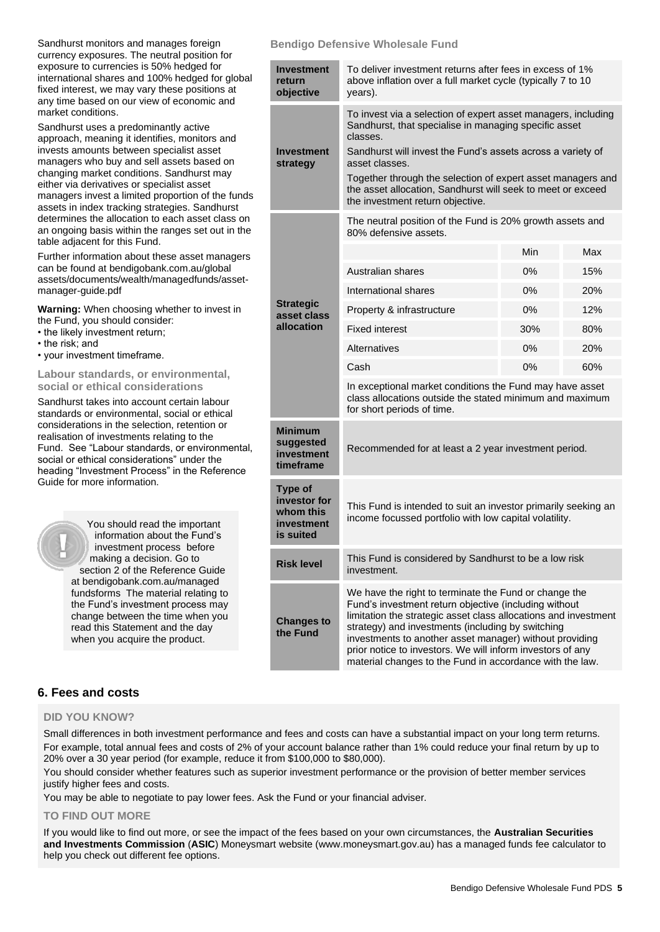| Sandhurst monitors and manages foreign<br>currency exposures. The neutral position for                                                                                                                                                                                                                                                                                                                                                                                                                                                                                                                                                                                                                          | <b>Bendigo Defensive Wholesale Fund</b>                         |                                                                                                                                                                                                                                                                                                                                                                                                                             |     |     |
|-----------------------------------------------------------------------------------------------------------------------------------------------------------------------------------------------------------------------------------------------------------------------------------------------------------------------------------------------------------------------------------------------------------------------------------------------------------------------------------------------------------------------------------------------------------------------------------------------------------------------------------------------------------------------------------------------------------------|-----------------------------------------------------------------|-----------------------------------------------------------------------------------------------------------------------------------------------------------------------------------------------------------------------------------------------------------------------------------------------------------------------------------------------------------------------------------------------------------------------------|-----|-----|
| exposure to currencies is 50% hedged for<br>international shares and 100% hedged for global<br>fixed interest, we may vary these positions at<br>any time based on our view of economic and<br>market conditions.<br>Sandhurst uses a predominantly active<br>approach, meaning it identifies, monitors and<br>invests amounts between specialist asset<br>managers who buy and sell assets based on<br>changing market conditions. Sandhurst may<br>either via derivatives or specialist asset<br>managers invest a limited proportion of the funds<br>assets in index tracking strategies. Sandhurst<br>determines the allocation to each asset class on<br>an ongoing basis within the ranges set out in the | <b>Investment</b><br>return<br>objective                        | To deliver investment returns after fees in excess of 1%<br>above inflation over a full market cycle (typically 7 to 10<br>years).                                                                                                                                                                                                                                                                                          |     |     |
|                                                                                                                                                                                                                                                                                                                                                                                                                                                                                                                                                                                                                                                                                                                 | <b>Investment</b><br>strategy                                   | To invest via a selection of expert asset managers, including<br>Sandhurst, that specialise in managing specific asset<br>classes.<br>Sandhurst will invest the Fund's assets across a variety of<br>asset classes.<br>Together through the selection of expert asset managers and<br>the asset allocation, Sandhurst will seek to meet or exceed<br>the investment return objective.                                       |     |     |
|                                                                                                                                                                                                                                                                                                                                                                                                                                                                                                                                                                                                                                                                                                                 |                                                                 | The neutral position of the Fund is 20% growth assets and<br>80% defensive assets.                                                                                                                                                                                                                                                                                                                                          |     |     |
| table adjacent for this Fund.<br>Further information about these asset managers                                                                                                                                                                                                                                                                                                                                                                                                                                                                                                                                                                                                                                 |                                                                 |                                                                                                                                                                                                                                                                                                                                                                                                                             | Min | Max |
| can be found at bendigobank.com.au/global<br>assets/documents/wealth/managedfunds/asset-                                                                                                                                                                                                                                                                                                                                                                                                                                                                                                                                                                                                                        |                                                                 | Australian shares                                                                                                                                                                                                                                                                                                                                                                                                           | 0%  | 15% |
| manager-guide.pdf                                                                                                                                                                                                                                                                                                                                                                                                                                                                                                                                                                                                                                                                                               |                                                                 | International shares                                                                                                                                                                                                                                                                                                                                                                                                        | 0%  | 20% |
| Warning: When choosing whether to invest in                                                                                                                                                                                                                                                                                                                                                                                                                                                                                                                                                                                                                                                                     | <b>Strategic</b><br>asset class                                 | Property & infrastructure                                                                                                                                                                                                                                                                                                                                                                                                   | 0%  | 12% |
| the Fund, you should consider:<br>• the likely investment return;                                                                                                                                                                                                                                                                                                                                                                                                                                                                                                                                                                                                                                               | allocation                                                      | <b>Fixed interest</b>                                                                                                                                                                                                                                                                                                                                                                                                       | 30% | 80% |
| • the risk; and<br>• your investment timeframe.                                                                                                                                                                                                                                                                                                                                                                                                                                                                                                                                                                                                                                                                 |                                                                 | Alternatives                                                                                                                                                                                                                                                                                                                                                                                                                | 0%  | 20% |
| Labour standards, or environmental,                                                                                                                                                                                                                                                                                                                                                                                                                                                                                                                                                                                                                                                                             |                                                                 | Cash                                                                                                                                                                                                                                                                                                                                                                                                                        | 0%  | 60% |
| social or ethical considerations<br>Sandhurst takes into account certain labour<br>standards or environmental, social or ethical                                                                                                                                                                                                                                                                                                                                                                                                                                                                                                                                                                                |                                                                 | In exceptional market conditions the Fund may have asset<br>class allocations outside the stated minimum and maximum<br>for short periods of time.                                                                                                                                                                                                                                                                          |     |     |
| considerations in the selection, retention or<br>realisation of investments relating to the<br>Fund. See "Labour standards, or environmental,<br>social or ethical considerations" under the<br>heading "Investment Process" in the Reference                                                                                                                                                                                                                                                                                                                                                                                                                                                                   | <b>Minimum</b><br>suggested<br>investment<br>timeframe          | Recommended for at least a 2 year investment period.                                                                                                                                                                                                                                                                                                                                                                        |     |     |
| Guide for more information.<br>You should read the important<br>information about the Fund's<br>investment process before<br>making a decision. Go to<br>section 2 of the Reference Guide                                                                                                                                                                                                                                                                                                                                                                                                                                                                                                                       | Type of<br>investor for<br>whom this<br>investment<br>is suited | This Fund is intended to suit an investor primarily seeking an<br>income focussed portfolio with low capital volatility.                                                                                                                                                                                                                                                                                                    |     |     |
|                                                                                                                                                                                                                                                                                                                                                                                                                                                                                                                                                                                                                                                                                                                 | <b>Risk level</b>                                               | This Fund is considered by Sandhurst to be a low risk<br>investment.                                                                                                                                                                                                                                                                                                                                                        |     |     |
| at bendigobank.com.au/managed<br>fundsforms The material relating to<br>the Fund's investment process may<br>change between the time when you<br>read this Statement and the day<br>when you acquire the product.                                                                                                                                                                                                                                                                                                                                                                                                                                                                                               | <b>Changes to</b><br>the Fund                                   | We have the right to terminate the Fund or change the<br>Fund's investment return objective (including without<br>limitation the strategic asset class allocations and investment<br>strategy) and investments (including by switching<br>investments to another asset manager) without providing<br>prior notice to investors. We will inform investors of any<br>material changes to the Fund in accordance with the law. |     |     |

## **6. Fees and costs**

## **DID YOU KNOW?**

Small differences in both investment performance and fees and costs can have a substantial impact on your long term returns. For example, total annual fees and costs of 2% of your account balance rather than 1% could reduce your final return by up to 20% over a 30 year period (for example, reduce it from \$100,000 to \$80,000).

You should consider whether features such as superior investment performance or the provision of better member services justify higher fees and costs.

You may be able to negotiate to pay lower fees. Ask the Fund or your financial adviser.

## **TO FIND OUT MORE**

If you would like to find out more, or see the impact of the fees based on your own circumstances, the **Australian Securities and Investments Commission** (**ASIC**) Moneysmart website (www[.moneysmart.gov.au\)](http://www.moneysmart.gov.au/) has a managed funds fee calculator to help you check out different fee options.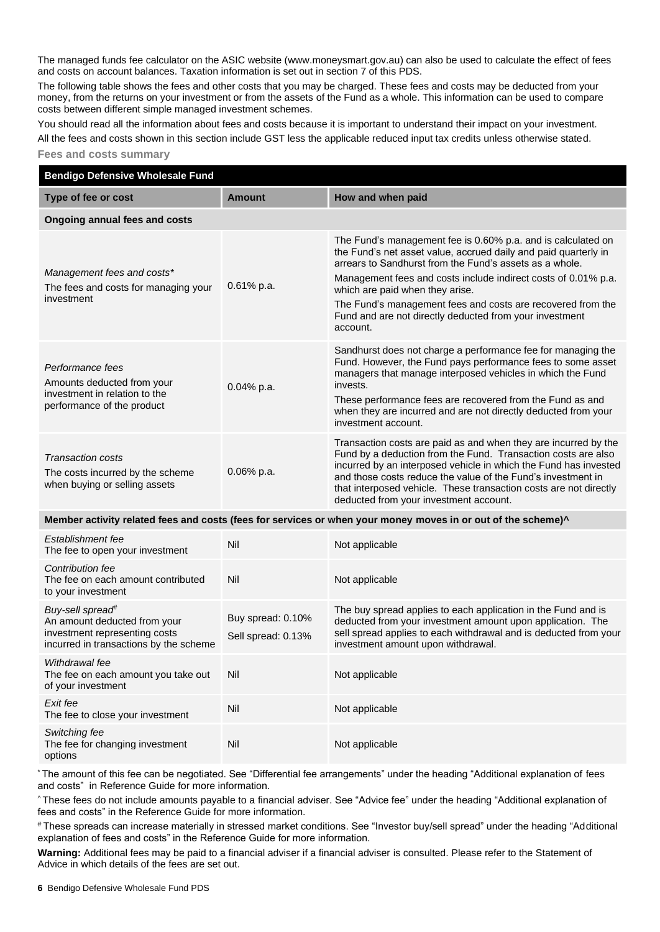The managed funds fee calculator on the ASIC website (ww[w.moneysmart.gov.au\)](http://www.moneysmart.gov.au/) can also be used to calculate the effect of fees and costs on account balances. Taxation information is set out in section 7 of this PDS.

The following table shows the fees and other costs that you may be charged. These fees and costs may be deducted from your money, from the returns on your investment or from the assets of the Fund as a whole. This information can be used to compare costs between different simple managed investment schemes.

You should read all the information about fees and costs because it is important to understand their impact on your investment.

All the fees and costs shown in this section include GST less the applicable reduced input tax credits unless otherwise stated.

## **Fees and costs summary**

| <b>Bendigo Defensive Wholesale Fund</b>                                                                                                 |                                         |                                                                                                                                                                                                                                                                                                                                                                                                                                       |  |
|-----------------------------------------------------------------------------------------------------------------------------------------|-----------------------------------------|---------------------------------------------------------------------------------------------------------------------------------------------------------------------------------------------------------------------------------------------------------------------------------------------------------------------------------------------------------------------------------------------------------------------------------------|--|
| Type of fee or cost                                                                                                                     | <b>Amount</b>                           | How and when paid                                                                                                                                                                                                                                                                                                                                                                                                                     |  |
| Ongoing annual fees and costs                                                                                                           |                                         |                                                                                                                                                                                                                                                                                                                                                                                                                                       |  |
| Management fees and costs*<br>The fees and costs for managing your<br>investment                                                        | $0.61\%$ p.a.                           | The Fund's management fee is 0.60% p.a. and is calculated on<br>the Fund's net asset value, accrued daily and paid quarterly in<br>arrears to Sandhurst from the Fund's assets as a whole.<br>Management fees and costs include indirect costs of 0.01% p.a.<br>which are paid when they arise.<br>The Fund's management fees and costs are recovered from the<br>Fund and are not directly deducted from your investment<br>account. |  |
| Performance fees<br>Amounts deducted from your<br>investment in relation to the<br>performance of the product                           | 0.04% p.a.                              | Sandhurst does not charge a performance fee for managing the<br>Fund. However, the Fund pays performance fees to some asset<br>managers that manage interposed vehicles in which the Fund<br>invests.<br>These performance fees are recovered from the Fund as and<br>when they are incurred and are not directly deducted from your<br>investment account.                                                                           |  |
| <b>Transaction costs</b><br>The costs incurred by the scheme<br>when buying or selling assets                                           | 0.06% p.a.                              | Transaction costs are paid as and when they are incurred by the<br>Fund by a deduction from the Fund. Transaction costs are also<br>incurred by an interposed vehicle in which the Fund has invested<br>and those costs reduce the value of the Fund's investment in<br>that interposed vehicle. These transaction costs are not directly<br>deducted from your investment account.                                                   |  |
|                                                                                                                                         |                                         | Member activity related fees and costs (fees for services or when your money moves in or out of the scheme)^                                                                                                                                                                                                                                                                                                                          |  |
| Establishment fee<br>The fee to open your investment                                                                                    | Nil                                     | Not applicable                                                                                                                                                                                                                                                                                                                                                                                                                        |  |
| Contribution fee<br>The fee on each amount contributed<br>to your investment                                                            | Nil                                     | Not applicable                                                                                                                                                                                                                                                                                                                                                                                                                        |  |
| Buy-sell spread <sup>#</sup><br>An amount deducted from your<br>investment representing costs<br>incurred in transactions by the scheme | Buy spread: 0.10%<br>Sell spread: 0.13% | The buy spread applies to each application in the Fund and is<br>deducted from your investment amount upon application. The<br>sell spread applies to each withdrawal and is deducted from your<br>investment amount upon withdrawal.                                                                                                                                                                                                 |  |
| Withdrawal fee<br>The fee on each amount you take out<br>of your investment                                                             | Nil                                     | Not applicable                                                                                                                                                                                                                                                                                                                                                                                                                        |  |
| Exit fee<br>The fee to close your investment                                                                                            | Nil                                     | Not applicable                                                                                                                                                                                                                                                                                                                                                                                                                        |  |
| Switching fee<br>The fee for changing investment<br>options                                                                             | Nil                                     | Not applicable                                                                                                                                                                                                                                                                                                                                                                                                                        |  |

\* The amount of this fee can be negotiated. See "Differential fee arrangements" under the heading "Additional explanation of fees and costs" in Reference Guide for more information.

^ These fees do not include amounts payable to a financial adviser. See "Advice fee" under the heading "Additional explanation of fees and costs" in the Reference Guide for more information.

# These spreads can increase materially in stressed market conditions. See "Investor buy/sell spread" under the heading "Additional explanation of fees and costs" in the Reference Guide for more information.

**Warning:** Additional fees may be paid to a financial adviser if a financial adviser is consulted. Please refer to the Statement of Advice in which details of the fees are set out.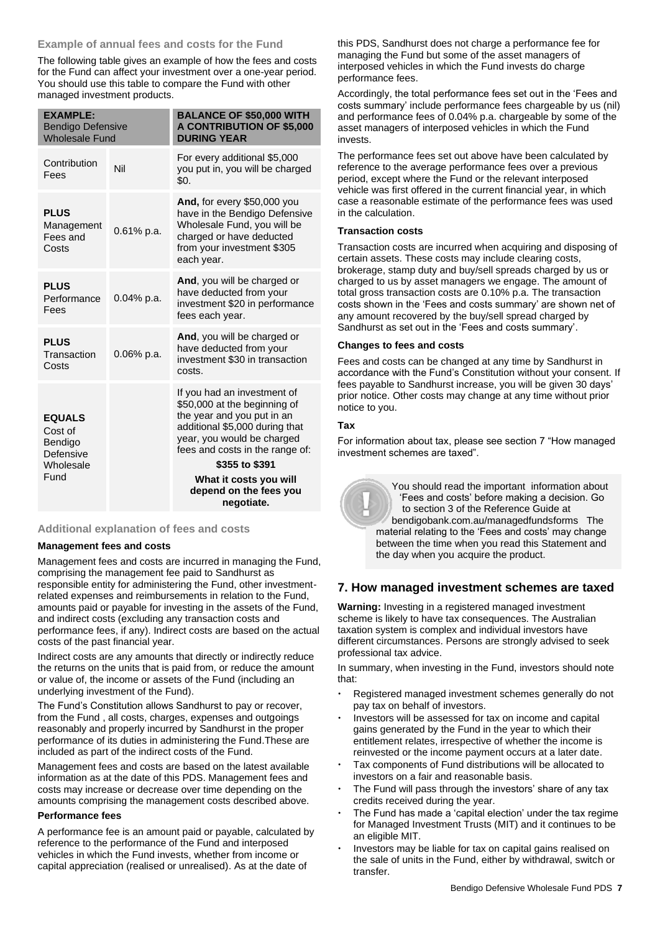## **Example of annual fees and costs for the Fund**

The following table gives an example of how the fees and costs for the Fund can affect your investment over a one-year period. You should use this table to compare the Fund with other managed investment products.

| <b>EXAMPLE:</b><br><b>Bendigo Defensive</b><br><b>Wholesale Fund</b> |               | <b>BALANCE OF \$50,000 WITH</b><br><b>A CONTRIBUTION OF \$5,000</b><br><b>DURING YEAR</b>                                                                                                                      |
|----------------------------------------------------------------------|---------------|----------------------------------------------------------------------------------------------------------------------------------------------------------------------------------------------------------------|
| Contribution<br>Fees                                                 | Nil           | For every additional \$5,000<br>you put in, you will be charged<br>\$0.                                                                                                                                        |
| <b>PLUS</b><br>Management<br>Fees and<br>Costs                       | $0.61\%$ p.a. | And, for every \$50,000 you<br>have in the Bendigo Defensive<br>Wholesale Fund, you will be<br>charged or have deducted<br>from your investment \$305<br>each year.                                            |
| <b>PLUS</b><br>Performance<br>Fees                                   | $0.04\%$ p.a. | And, you will be charged or<br>have deducted from your<br>investment \$20 in performance<br>fees each year.                                                                                                    |
| <b>PLUS</b><br>Transaction<br>Costs                                  | 0.06% p.a.    | And, you will be charged or<br>have deducted from your<br>investment \$30 in transaction<br>costs.                                                                                                             |
| <b>EQUALS</b><br>Cost of<br>Bendigo<br>Defensive<br>Wholesale        |               | If you had an investment of<br>\$50,000 at the beginning of<br>the year and you put in an<br>additional \$5,000 during that<br>year, you would be charged<br>fees and costs in the range of:<br>\$355 to \$391 |
| Fund                                                                 |               | What it costs you will<br>depend on the fees you<br>negotiate.                                                                                                                                                 |

## **Additional explanation of fees and costs**

## **Management fees and costs**

Management fees and costs are incurred in managing the Fund, comprising the management fee paid to Sandhurst as responsible entity for administering the Fund, other investmentrelated expenses and reimbursements in relation to the Fund, amounts paid or payable for investing in the assets of the Fund, and indirect costs (excluding any transaction costs and performance fees, if any). Indirect costs are based on the actual costs of the past financial year.

Indirect costs are any amounts that directly or indirectly reduce the returns on the units that is paid from, or reduce the amount or value of, the income or assets of the Fund (including an underlying investment of the Fund).

The Fund's Constitution allows Sandhurst to pay or recover, from the Fund , all costs, charges, expenses and outgoings reasonably and properly incurred by Sandhurst in the proper performance of its duties in administering the Fund.These are included as part of the indirect costs of the Fund.

Management fees and costs are based on the latest available information as at the date of this PDS. Management fees and costs may increase or decrease over time depending on the amounts comprising the management costs described above.

## **Performance fees**

A performance fee is an amount paid or payable, calculated by reference to the performance of the Fund and interposed vehicles in which the Fund invests, whether from income or capital appreciation (realised or unrealised). As at the date of

this PDS, Sandhurst does not charge a performance fee for managing the Fund but some of the asset managers of interposed vehicles in which the Fund invests do charge performance fees.

Accordingly, the total performance fees set out in the 'Fees and costs summary' include performance fees chargeable by us (nil) and performance fees of 0.04% p.a. chargeable by some of the asset managers of interposed vehicles in which the Fund invests.

The performance fees set out above have been calculated by reference to the average performance fees over a previous period, except where the Fund or the relevant interposed vehicle was first offered in the current financial year, in which case a reasonable estimate of the performance fees was used in the calculation.

## **Transaction costs**

Transaction costs are incurred when acquiring and disposing of certain assets. These costs may include clearing costs, brokerage, stamp duty and buy/sell spreads charged by us or charged to us by asset managers we engage. The amount of total gross transaction costs are 0.10% p.a. The transaction costs shown in the 'Fees and costs summary' are shown net of any amount recovered by the buy/sell spread charged by Sandhurst as set out in the 'Fees and costs summary'.

## **Changes to fees and costs**

Fees and costs can be changed at any time by Sandhurst in accordance with the Fund's Constitution without your consent. If fees payable to Sandhurst increase, you will be given 30 days' prior notice. Other costs may change at any time without prior notice to you.

## **Tax**

For information about tax, please see section 7 "How managed investment schemes are taxed".

> You should read the important information about 'Fees and costs' before making a decision. Go to section 3 of the Reference Guide at [bendigobank.com.au/managedfundsf](https://bendigobank.com.au/managedfundsforms)orms The material relating to the 'Fees and costs' may change between the time when you read this Statement and the day when you acquire the product.

## **7. How managed investment schemes are taxed**

**Warning:** Investing in a registered managed investment scheme is likely to have tax consequences. The Australian taxation system is complex and individual investors have different circumstances. Persons are strongly advised to seek professional tax advice.

In summary, when investing in the Fund, investors should note that:

- Registered managed investment schemes generally do not pay tax on behalf of investors.
- Investors will be assessed for tax on income and capital gains generated by the Fund in the year to which their entitlement relates, irrespective of whether the income is reinvested or the income payment occurs at a later date.
- Tax components of Fund distributions will be allocated to investors on a fair and reasonable basis.
- The Fund will pass through the investors' share of any tax credits received during the year.
- The Fund has made a 'capital election' under the tax regime for Managed Investment Trusts (MIT) and it continues to be an eligible MIT.
- Investors may be liable for tax on capital gains realised on the sale of units in the Fund, either by withdrawal, switch or transfer.